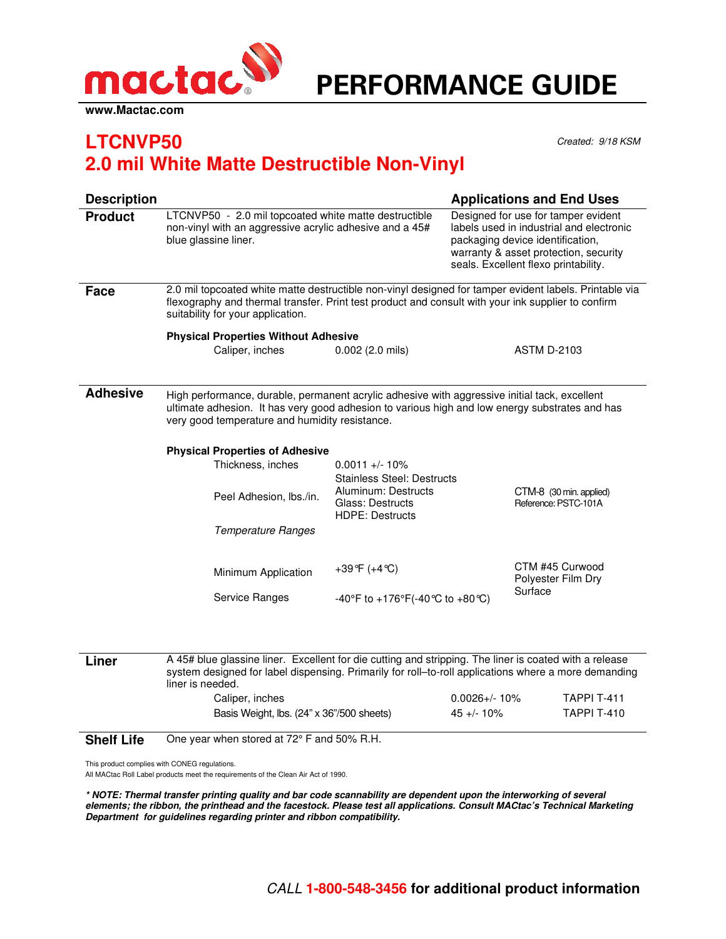

## PERFORMANCE GUIDE

## **LTCNVP50** Created: 9/18 KSM **2.0 mil White Matte Destructible Non-Vinyl**

| <b>Description</b> |                                                                                                                                                                                                                                                   |                                                                   |                                                                                                                                                                                                      |                                                  | <b>Applications and End Uses</b> |  |
|--------------------|---------------------------------------------------------------------------------------------------------------------------------------------------------------------------------------------------------------------------------------------------|-------------------------------------------------------------------|------------------------------------------------------------------------------------------------------------------------------------------------------------------------------------------------------|--------------------------------------------------|----------------------------------|--|
| <b>Product</b>     | LTCNVP50 - 2.0 mil topcoated white matte destructible<br>non-vinyl with an aggressive acrylic adhesive and a 45#<br>blue glassine liner.                                                                                                          |                                                                   | Designed for use for tamper evident<br>labels used in industrial and electronic<br>packaging device identification,<br>warranty & asset protection, security<br>seals. Excellent flexo printability. |                                                  |                                  |  |
| Face               | 2.0 mil topcoated white matte destructible non-vinyl designed for tamper evident labels. Printable via<br>flexography and thermal transfer. Print test product and consult with your ink supplier to confirm<br>suitability for your application. |                                                                   |                                                                                                                                                                                                      |                                                  |                                  |  |
|                    | <b>Physical Properties Without Adhesive</b>                                                                                                                                                                                                       |                                                                   |                                                                                                                                                                                                      |                                                  |                                  |  |
|                    | Caliper, inches                                                                                                                                                                                                                                   | $0.002$ (2.0 mils)                                                | <b>ASTM D-2103</b>                                                                                                                                                                                   |                                                  |                                  |  |
|                    |                                                                                                                                                                                                                                                   |                                                                   |                                                                                                                                                                                                      |                                                  |                                  |  |
| <b>Adhesive</b>    | High performance, durable, permanent acrylic adhesive with aggressive initial tack, excellent<br>ultimate adhesion. It has very good adhesion to various high and low energy substrates and has<br>very good temperature and humidity resistance. |                                                                   |                                                                                                                                                                                                      |                                                  |                                  |  |
|                    | <b>Physical Properties of Adhesive</b>                                                                                                                                                                                                            |                                                                   |                                                                                                                                                                                                      |                                                  |                                  |  |
|                    | Thickness, inches                                                                                                                                                                                                                                 | $0.0011 +/- 10\%$<br><b>Stainless Steel: Destructs</b>            |                                                                                                                                                                                                      |                                                  |                                  |  |
|                    | Peel Adhesion, Ibs./in.                                                                                                                                                                                                                           | Aluminum: Destructs<br>Glass: Destructs<br><b>HDPE: Destructs</b> |                                                                                                                                                                                                      | CTM-8 (30 min. applied)<br>Reference: PSTC-101A  |                                  |  |
|                    | Temperature Ranges                                                                                                                                                                                                                                |                                                                   |                                                                                                                                                                                                      |                                                  |                                  |  |
|                    | Minimum Application                                                                                                                                                                                                                               | +39 $^{\circ}$ F (+4 $^{\circ}$ C)                                |                                                                                                                                                                                                      | CTM #45 Curwood<br>Polyester Film Dry<br>Surface |                                  |  |
|                    | Service Ranges                                                                                                                                                                                                                                    | -40°F to +176°F(-40°C to +80°C)                                   |                                                                                                                                                                                                      |                                                  |                                  |  |
|                    |                                                                                                                                                                                                                                                   |                                                                   |                                                                                                                                                                                                      |                                                  |                                  |  |
| Liner              | A 45# blue glassine liner. Excellent for die cutting and stripping. The liner is coated with a release<br>system designed for label dispensing. Primarily for roll-to-roll applications where a more demanding<br>liner is needed.                |                                                                   |                                                                                                                                                                                                      |                                                  |                                  |  |
|                    | Caliper, inches                                                                                                                                                                                                                                   |                                                                   | $0.0026 + / - 10\%$                                                                                                                                                                                  |                                                  | <b>TAPPI T-411</b>               |  |

**Shelf Life** One year when stored at 72° F and 50% R.H.

This product complies with CONEG regulations.

All MACtac Roll Label products meet the requirements of the Clean Air Act of 1990.

**\* NOTE: Thermal transfer printing quality and bar code scannability are dependent upon the interworking of several elements; the ribbon, the printhead and the facestock. Please test all applications. Consult MACtac's Technical Marketing Department for guidelines regarding printer and ribbon compatibility.**

Basis Weight, lbs. (24" x 36"/500 sheets) 45 +/- 10% TAPPI T-410